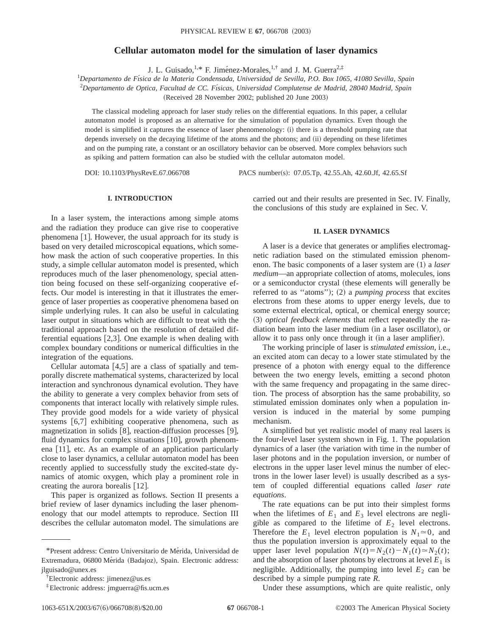# **Cellular automaton model for the simulation of laser dynamics**

J. L. Guisado,<sup>1,\*</sup> F. Jiménez-Morales,<sup>1,†</sup> and J. M. Guerra<sup>2,‡</sup>

1 *Departamento de Fı´sica de la Materia Condensada, Universidad de Sevilla, P.O. Box 1065, 41080 Sevilla, Spain*

2 *Departamento de Optica, Facultad de CC. Fı´sicas, Universidad Complutense de Madrid, 28040 Madrid, Spain*

(Received 28 November 2002; published 20 June 2003)

The classical modeling approach for laser study relies on the differential equations. In this paper, a cellular automaton model is proposed as an alternative for the simulation of population dynamics. Even though the model is simplified it captures the essence of laser phenomenology:  $(i)$  there is a threshold pumping rate that depends inversely on the decaying lifetime of the atoms and the photons; and (ii) depending on these lifetimes and on the pumping rate, a constant or an oscillatory behavior can be observed. More complex behaviors such as spiking and pattern formation can also be studied with the cellular automaton model.

DOI: 10.1103/PhysRevE.67.066708 PACS number(s): 07.05.Tp, 42.55.Ah, 42.60.Jf, 42.65.Sf

# **I. INTRODUCTION**

In a laser system, the interactions among simple atoms and the radiation they produce can give rise to cooperative phenomena  $[1]$ . However, the usual approach for its study is based on very detailed microscopical equations, which somehow mask the action of such cooperative properties. In this study, a simple cellular automaton model is presented, which reproduces much of the laser phenomenology, special attention being focused on these self-organizing cooperative effects. Our model is interesting in that it illustrates the emergence of laser properties as cooperative phenomena based on simple underlying rules. It can also be useful in calculating laser output in situations which are difficult to treat with the traditional approach based on the resolution of detailed differential equations  $[2,3]$ . One example is when dealing with complex boundary conditions or numerical difficulties in the integration of the equations.

Cellular automata  $[4,5]$  are a class of spatially and temporally discrete mathematical systems, characterized by local interaction and synchronous dynamical evolution. They have the ability to generate a very complex behavior from sets of components that interact locally with relatively simple rules. They provide good models for a wide variety of physical systems  $[6,7]$  exhibiting cooperative phenomena, such as magnetization in solids  $[8]$ , reaction-diffusion processes  $[9]$ , fluid dynamics for complex situations [10], growth phenomena  $[11]$ , etc. As an example of an application particularly close to laser dynamics, a cellular automaton model has been recently applied to successfully study the excited-state dynamics of atomic oxygen, which play a prominent role in creating the aurora borealis  $[12]$ .

This paper is organized as follows. Section II presents a brief review of laser dynamics including the laser phenomenology that our model attempts to reproduce. Section III describes the cellular automaton model. The simulations are

carried out and their results are presented in Sec. IV. Finally, the conclusions of this study are explained in Sec. V.

## **II. LASER DYNAMICS**

A laser is a device that generates or amplifies electromagnetic radiation based on the stimulated emission phenomenon. The basic components of a laser system are (1) a *laser medium*—an appropriate collection of atoms, molecules, ions or a semiconductor crystal (these elements will generally be referred to as "atoms");  $(2)$  a *pumping process* that excites electrons from these atoms to upper energy levels, due to some external electrical, optical, or chemical energy source; ~3! *optical feedback elements* that reflect repeatedly the radiation beam into the laser medium (in a laser oscillator), or allow it to pass only once through it (in a laser amplifier).

The working principle of laser is *stimulated emission*, i.e., an excited atom can decay to a lower state stimulated by the presence of a photon with energy equal to the difference between the two energy levels, emitting a second photon with the same frequency and propagating in the same direction. The process of absorption has the same probability, so stimulated emission dominates only when a population inversion is induced in the material by some pumping mechanism.

A simplified but yet realistic model of many real lasers is the four-level laser system shown in Fig. 1. The population dynamics of a laser (the variation with time in the number of laser photons and in the population inversion, or number of electrons in the upper laser level minus the number of electrons in the lower laser level) is usually described as a system of coupled differential equations called *laser rate equations*.

The rate equations can be put into their simplest forms when the lifetimes of  $E_1$  and  $E_3$  level electrons are negligible as compared to the lifetime of  $E_2$  level electrons. Therefore the  $E_1$  level electron population is  $N_1 \approx 0$ , and thus the population inversion is approximately equal to the upper laser level population  $N(t) = N_2(t) - N_1(t) \approx N_2(t)$ ; and the absorption of laser photons by electrons at level  $E_1$  is negligible. Additionally, the pumping into level  $E_2$  can be described by a simple pumping rate *R*.

Under these assumptions, which are quite realistic, only

<sup>\*</sup>Present address: Centro Universitario de Me´rida, Universidad de Extremadura, 06800 Mérida (Badajoz), Spain. Electronic address: jlguisado@unex.es

<sup>†</sup> Electronic address: jimenez@us.es

<sup>‡</sup>Electronic address: jmguerra@fis.ucm.es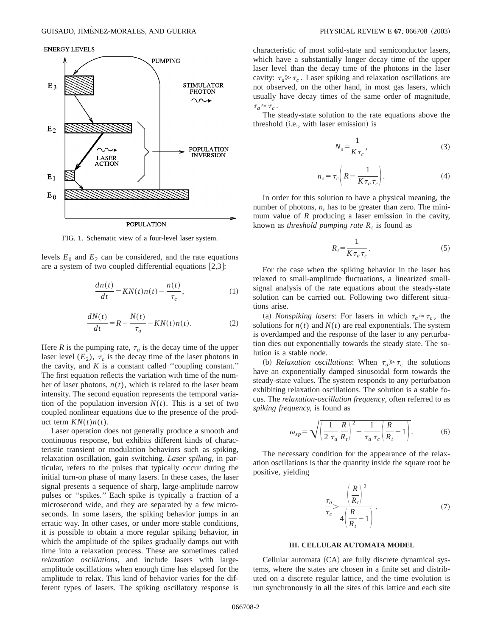



FIG. 1. Schematic view of a four-level laser system.

levels  $E_0$  and  $E_2$  can be considered, and the rate equations are a system of two coupled differential equations  $[2,3]$ :

$$
\frac{dn(t)}{dt} = KN(t)n(t) - \frac{n(t)}{\tau_c},\tag{1}
$$

$$
\frac{dN(t)}{dt} = R - \frac{N(t)}{\tau_a} - KN(t)n(t). \tag{2}
$$

Here *R* is the pumping rate,  $\tau_a$  is the decay time of the upper laser level  $(E_2)$ ,  $\tau_c$  is the decay time of the laser photons in the cavity, and  $K$  is a constant called "coupling constant." The first equation reflects the variation with time of the number of laser photons,  $n(t)$ , which is related to the laser beam intensity. The second equation represents the temporal variation of the population inversion  $N(t)$ . This is a set of two coupled nonlinear equations due to the presence of the product term  $KN(t)n(t)$ .

Laser operation does not generally produce a smooth and continuous response, but exhibits different kinds of characteristic transient or modulation behaviors such as spiking, relaxation oscillation, gain switching. *Laser spiking*, in particular, refers to the pulses that typically occur during the initial turn-on phase of many lasers. In these cases, the laser signal presents a sequence of sharp, large-amplitude narrow pulses or ''spikes.'' Each spike is typically a fraction of a microsecond wide, and they are separated by a few microseconds. In some lasers, the spiking behavior jumps in an erratic way. In other cases, or under more stable conditions, it is possible to obtain a more regular spiking behavior, in which the amplitude of the spikes gradually damps out with time into a relaxation process. These are sometimes called *relaxation oscillations*, and include lasers with largeamplitude oscillations when enough time has elapsed for the amplitude to relax. This kind of behavior varies for the different types of lasers. The spiking oscillatory response is characteristic of most solid-state and semiconductor lasers, which have a substantially longer decay time of the upper laser level than the decay time of the photons in the laser cavity:  $\tau_a \gg \tau_c$ . Laser spiking and relaxation oscillations are not observed, on the other hand, in most gas lasers, which usually have decay times of the same order of magnitude,  $\tau_a \approx \tau_c$ .

The steady-state solution to the rate equations above the threshold (i.e., with laser emission) is

$$
N_s = \frac{1}{K\tau_c},\tag{3}
$$

$$
n_s = \tau_c \left( R - \frac{1}{K \tau_a \tau_c} \right). \tag{4}
$$

In order for this solution to have a physical meaning, the number of photons, *n*, has to be greater than zero. The minimum value of *R* producing a laser emission in the cavity, known as *threshold pumping rate*  $R_t$  is found as

$$
R_t = \frac{1}{K\tau_a \tau_c}.\tag{5}
$$

For the case when the spiking behavior in the laser has relaxed to small-amplitude fluctuations, a linearized smallsignal analysis of the rate equations about the steady-state solution can be carried out. Following two different situations arise.

(a) *Nonspiking lasers*: For lasers in which  $\tau_a \approx \tau_c$ , the solutions for  $n(t)$  and  $N(t)$  are real exponentials. The system is overdamped and the response of the laser to any perturbation dies out exponentially towards the steady state. The solution is a stable node.

(b) *Relaxation oscillations*: When  $\tau_a \gg \tau_c$  the solutions have an exponentially damped sinusoidal form towards the steady-state values. The system responds to any perturbation exhibiting relaxation oscillations. The solution is a stable focus. The *relaxation-oscillation frequency*, often referred to as *spiking frequency,* is found as

$$
\omega_{sp} = \sqrt{\left(\frac{1}{2\tau_a} \frac{R}{R_t}\right)^2 - \frac{1}{\tau_a \tau_c} \left(\frac{R}{R_t} - 1\right)}.
$$
 (6)

The necessary condition for the appearance of the relaxation oscillations is that the quantity inside the square root be positive, yielding

$$
\frac{\tau_a}{\tau_c} > \frac{\left(\frac{R}{R_t}\right)^2}{4\left(\frac{R}{R_t} - 1\right)}.\tag{7}
$$

## **III. CELLULAR AUTOMATA MODEL**

Cellular automata  $(CA)$  are fully discrete dynamical systems, where the states are chosen in a finite set and distributed on a discrete regular lattice, and the time evolution is run synchronously in all the sites of this lattice and each site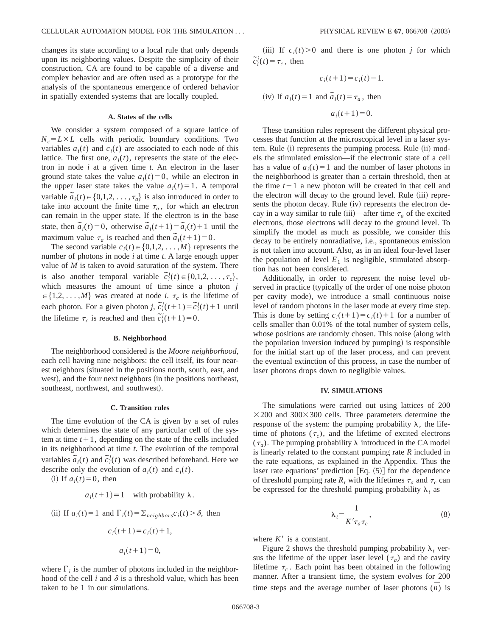changes its state according to a local rule that only depends upon its neighboring values. Despite the simplicity of their construction, CA are found to be capable of a diverse and complex behavior and are often used as a prototype for the analysis of the spontaneous emergence of ordered behavior in spatially extended systems that are locally coupled.

#### **A. States of the cells**

We consider a system composed of a square lattice of  $N_c = L \times L$  cells with periodic boundary conditions. Two variables  $a_i(t)$  and  $c_i(t)$  are associated to each node of this lattice. The first one,  $a_i(t)$ , represents the state of the electron in node *i* at a given time *t*. An electron in the laser ground state takes the value  $a_i(t)=0$ , while an electron in the upper laser state takes the value  $a_i(t) = 1$ . A temporal variable  $\tilde{a}_i(t) \in \{0,1,2,\ldots,\tau_a\}$  is also introduced in order to take into account the finite time  $\tau_a$ , for which an electron can remain in the upper state. If the electron is in the base state, then  $\tilde{a}_i(t) = 0$ , otherwise  $\tilde{a}_i(t+1) = \tilde{a}_i(t) + 1$  until the maximum value  $\tau_a$  is reached and then  $\tilde{a}_i(t+1)=0$ .

The second variable  $c_i(t) \in \{0,1,2,\ldots,M\}$  represents the number of photons in node *i* at time *t*. A large enough upper value of *M* is taken to avoid saturation of the system. There is also another temporal variable  $\tilde{c}_i^j(t) \in \{0,1,2,\ldots,\tau_c\}$ , which measures the amount of time since a photon *j*  $\in \{1,2,\ldots,M\}$  was created at node *i*.  $\tau_c$  is the lifetime of each photon. For a given photon *j*,  $\tilde{c}^j_i(t+1) = \tilde{c}^j_i(t) + 1$  until the lifetime  $\tau_c$  is reached and then  $\tilde{c}_i^j(t+1)=0$ .

#### **B. Neighborhood**

The neighborhood considered is the *Moore neighborhood*, each cell having nine neighbors: the cell itself, its four nearest neighbors (situated in the positions north, south, east, and west), and the four next neighbors (in the positions northeast, southeast, northwest, and southwest).

### **C. Transition rules**

The time evolution of the CA is given by a set of rules which determines the state of any particular cell of the system at time  $t+1$ , depending on the state of the cells included in its neighborhood at time *t*. The evolution of the temporal variables  $\tilde{a}_i(t)$  and  $\tilde{c}_i^j(t)$  was described beforehand. Here we describe only the evolution of  $a_i(t)$  and  $c_i(t)$ .

 $(i)$  If  $a_i(t)=0$ , then

$$
a_i(t+1)=1
$$
 with probability  $\lambda$ .

(ii) If 
$$
a_i(t) = 1
$$
 and  $\Gamma_i(t) = \sum_{neighbors} c_i(t) > \delta$ , then  

$$
c_i(t+1) = c_i(t) + 1,
$$

$$
a_i(t+1) = 0,
$$

where  $\Gamma_i$  is the number of photons included in the neighborhood of the cell *i* and  $\delta$  is a threshold value, which has been taken to be 1 in our simulations.

(iii) If  $c_i(t) > 0$  and there is one photon *j* for which  $\tilde{c}_i^j(t) = \tau_c$ , then

$$
c_i(t+1) = c_i(t) - 1.
$$

(iv) If  $a_i(t) = 1$  and  $\tilde{a}_i(t) = \tau_a$ , then

$$
a_i(t+1)=0.
$$

These transition rules represent the different physical processes that function at the microscopical level in a laser system. Rule (i) represents the pumping process. Rule (ii) models the stimulated emission—if the electronic state of a cell has a value of  $a_i(t) = 1$  and the number of laser photons in the neighborhood is greater than a certain threshold, then at the time  $t+1$  a new photon will be created in that cell and the electron will decay to the ground level. Rule (iii) represents the photon decay. Rule (iv) represents the electron decay in a way similar to rule (iii)—after time  $\tau_a$  of the excited electrons, those electrons will decay to the ground level. To simplify the model as much as possible, we consider this decay to be entirely nonradiative, i.e., spontaneous emission is not taken into account. Also, as in an ideal four-level laser the population of level  $E_1$  is negligible, stimulated absorption has not been considered.

Additionally, in order to represent the noise level observed in practice (typically of the order of one noise photon per cavity mode), we introduce a small continuous noise level of random photons in the laser mode at every time step. This is done by setting  $c_i(t+1) = c_i(t)+1$  for a number of cells smaller than 0.01% of the total number of system cells, whose positions are randomly chosen. This noise (along with the population inversion induced by pumping) is responsible for the initial start up of the laser process, and can prevent the eventual extinction of this process, in case the number of laser photons drops down to negligible values.

### **IV. SIMULATIONS**

The simulations were carried out using lattices of 200  $\times$  200 and 300 $\times$ 300 cells. Three parameters determine the response of the system: the pumping probability  $\lambda$ , the lifetime of photons  $(\tau_c)$ , and the lifetime of excited electrons  $(\tau_a)$ . The pumping probability  $\lambda$  introduced in the CA model is linearly related to the constant pumping rate *R* included in the rate equations, as explained in the Appendix. Thus the laser rate equations' prediction  $[Eq. (5)]$  for the dependence of threshold pumping rate  $R_t$  with the lifetimes  $\tau_a$  and  $\tau_c$  can be expressed for the threshold pumping probability  $\lambda_t$  as

$$
\lambda_t = \frac{1}{K'\tau_a \tau_c},\tag{8}
$$

where  $K'$  is a constant.

Figure 2 shows the threshold pumping probability  $\lambda_t$  versus the lifetime of the upper laser level  $(\tau_a)$  and the cavity lifetime  $\tau_c$ . Each point has been obtained in the following manner. After a transient time, the system evolves for 200 time steps and the average number of laser photons  $(\overline{n})$  is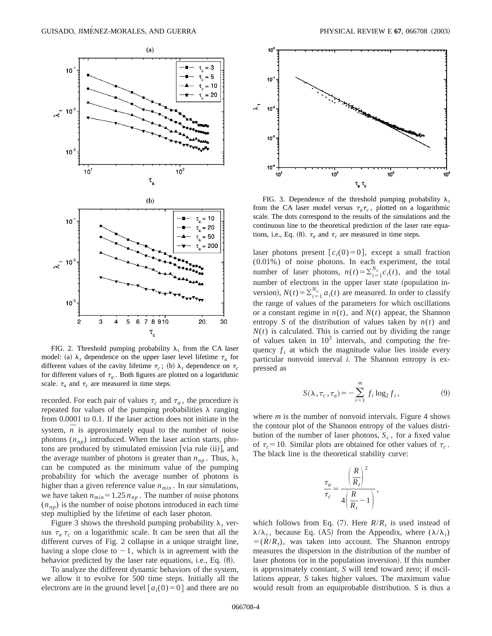

FIG. 2. Threshold pumping probability  $\lambda_t$  from the CA laser model: (a)  $\lambda_t$  dependence on the upper laser level lifetime  $\tau_a$  for different values of the cavity lifetime  $\tau_c$ ; (b)  $\lambda_t$  dependence on  $\tau_c$ for different values of  $\tau_a$ . Both figures are plotted on a logarithmic scale.  $\tau_a$  and  $\tau_c$  are measured in time steps.

recorded. For each pair of values  $\tau_c$  and  $\tau_a$ , the procedure is repeated for values of the pumping probabilities  $\lambda$  ranging from 0.0001 to 0.1. If the laser action does not initiate in the system,  $\overline{n}$  is approximately equal to the number of noise photons  $(n_{np})$  introduced. When the laser action starts, photons are produced by stimulated emission [via rule  $(ii)$ ], and the average number of photons is greater than  $n_{np}$ . Thus,  $\lambda_t$ can be computed as the minimum value of the pumping probability for which the average number of photons is higher than a given reference value  $n_{min}$ . In our simulations, we have taken  $n_{min} = 1.25 n_{np}$ . The number of noise photons  $(n_{np})$  is the number of noise photons introduced in each time step multiplied by the lifetime of each laser photon.

Figure 3 shows the threshold pumping probability  $\lambda_t$  versus  $\tau_a \tau_c$  on a logarithmic scale. It can be seen that all the different curves of Fig. 2 collapse in a unique straight line, having a slope close to  $-1$ , which is in agreement with the behavior predicted by the laser rate equations, i.e., Eq.  $(8)$ .

To analyze the different dynamic behaviors of the system, we allow it to evolve for 500 time steps. Initially all the electrons are in the ground level  $[a_i(0)=0]$  and there are no



FIG. 3. Dependence of the threshold pumping probability  $\lambda_t$ from the CA laser model versus  $\tau_a \tau_c$ , plotted on a logarithmic scale. The dots correspond to the results of the simulations and the continuous line to the theoretical prediction of the laser rate equations, i.e., Eq. (8).  $\tau_a$  and  $\tau_c$  are measured in time steps.

laser photons present  $[c_i(0)=0]$ , except a small fraction (0.01%) of noise photons. In each experiment, the total number of laser photons,  $n(t) = \sum_{i=1}^{N_c} c_i(t)$ , and the total number of electrons in the upper laser state (population inversion),  $N(t) = \sum_{i=1}^{N_c} a_i(t)$  are measured. In order to classify the range of values of the parameters for which oscillations or a constant regime in  $n(t)$ , and  $N(t)$  appear, the Shannon entropy *S* of the distribution of values taken by  $n(t)$  and  $N(t)$  is calculated. This is carried out by dividing the range of values taken in  $10^3$  intervals, and computing the frequency  $f_i$  at which the magnitude value lies inside every particular nonvoid interval *i*. The Shannon entropy is expressed as

$$
S(\lambda, \tau_c, \tau_a) = -\sum_{i=1}^{m} f_i \log_2 f_i, \qquad (9)
$$

where *m* is the number of nonvoid intervals. Figure 4 shows the contour plot of the Shannon entropy of the values distribution of the number of laser photons,  $S_c$ , for a fixed value of  $\tau_c$ =10. Similar plots are obtained for other values of  $\tau_c$ . The black line is the theoretical stability curve:

$$
\frac{\tau_a}{\tau_c} = \frac{\left(\frac{R}{R_t}\right)^2}{4\left(\frac{R}{R_t} - 1\right)},
$$

which follows from Eq.  $(7)$ . Here  $R/R<sub>t</sub>$  is used instead of  $\lambda/\lambda_t$ , because Eq. (A5) from the Appendix, where  $(\lambda/\lambda_t)$  $= (R/R<sub>t</sub>)$ , was taken into account. The Shannon entropy measures the dispersion in the distribution of the number of laser photons (or in the population inversion). If this number is approximately constant, *S* will tend toward zero; if oscillations appear, *S* takes higher values. The maximum value would result from an equiprobable distribution. *S* is thus a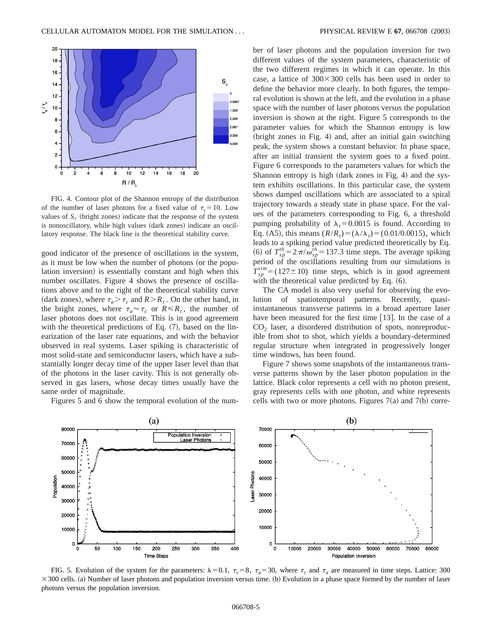

FIG. 4. Contour plot of the Shannon entropy of the distribution of the number of laser photons for a fixed value of  $\tau_c = 10$ . Low values of  $S_c$  (bright zones) indicate that the response of the system is nonoscillatory, while high values (dark zones) indicate an oscillatory response. The black line is the theoretical stability curve.

good indicator of the presence of oscillations in the system, as it must be low when the number of photons (or the population inversion) is essentially constant and high when this number oscillates. Figure 4 shows the presence of oscillations above and to the right of the theoretical stability curve (dark zones), where  $\tau_a > \tau_c$  and  $R > R_t$ . On the other hand, in the bright zones, where  $\tau_a \approx \tau_c$  or  $R \le R_t$ , the number of laser photons does not oscillate. This is in good agreement with the theoretical predictions of Eq.  $(7)$ , based on the linearization of the laser rate equations, and with the behavior observed in real systems. Laser spiking is characteristic of most solid-state and semiconductor lasers, which have a substantially longer decay time of the upper laser level than that of the photons in the laser cavity. This is not generally observed in gas lasers, whose decay times usually have the same order of magnitude.

Figures 5 and 6 show the temporal evolution of the num-

ber of laser photons and the population inversion for two different values of the system parameters, characteristic of the two different regimes in which it can operate. In this case, a lattice of  $300 \times 300$  cells has been used in order to define the behavior more clearly. In both figures, the tempo-

ral evolution is shown at the left, and the evolution in a phase space with the number of laser photons versus the population inversion is shown at the right. Figure 5 corresponds to the parameter values for which the Shannon entropy is low  $(bright zones in Fig. 4)$  and, after an initial gain switching peak, the system shows a constant behavior. In phase space, after an initial transient the system goes to a fixed point. Figure 6 corresponds to the parameters values for which the Shannon entropy is high  $(dark zones in Fig. 4)$  and the system exhibits oscillations. In this particular case, the system shows damped oscillations which are associated to a spiral trajectory towards a steady state in phase space. For the values of the parameters corresponding to Fig. 6, a threshold pumping probability of  $\lambda_t=0.0015$  is found. According to Eq. (A5), this means  $(R/R_t) = (\lambda/\lambda_t) = (0.01/0.0015)$ , which leads to a spiking period value predicted theoretically by Eq. (6) of  $T_{sp}^{th} = 2\pi/\omega_{sp}^{th} = 137.3$  time steps. The average spiking period of the oscillations resulting from our simulations is  $T_{sp}^{sim}$  = (127 ± 10) time steps, which is in good agreement with the theoretical value predicted by Eq.  $(6)$ .

The CA model is also very useful for observing the evolution of spatiotemporal patterns. Recently, quasiinstantaneous transverse patterns in a broad aperture laser have been measured for the first time  $[13]$ . In the case of a  $CO<sub>2</sub>$  laser, a disordered distribution of spots, nonreproducible from shot to shot, which yields a boundary-determined regular structure when integrated in progressively longer time windows, has been found.

Figure 7 shows some snapshots of the instantaneous transverse patterns shown by the laser photon population in the lattice. Black color represents a cell with no photon present, gray represents cells with one photon, and white represents cells with two or more photons. Figures  $7(a)$  and  $7(b)$  corre-



FIG. 5. Evolution of the system for the parameters:  $\lambda = 0.1$ ,  $\tau_c = 8$ ,  $\tau_a = 30$ , where  $\tau_c$  and  $\tau_a$  are measured in time steps. Lattice: 300  $\times$  300 cells. (a) Number of laser photons and population inversion versus time. (b) Evolution in a phase space formed by the number of laser photons versus the population inversion.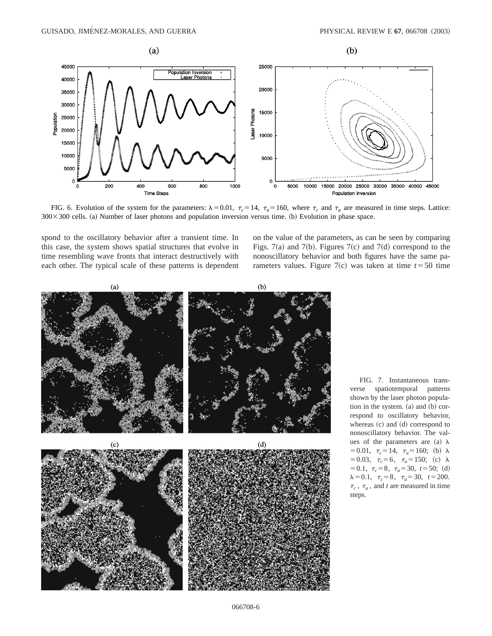

FIG. 6. Evolution of the system for the parameters:  $\lambda = 0.01$ ,  $\tau_c = 14$ ,  $\tau_a = 160$ , where  $\tau_c$  and  $\tau_a$  are measured in time steps. Lattice:  $300 \times 300$  cells. (a) Number of laser photons and population inversion versus time. (b) Evolution in phase space.

spond to the oscillatory behavior after a transient time. In this case, the system shows spatial structures that evolve in time resembling wave fronts that interact destructively with each other. The typical scale of these patterns is dependent on the value of the parameters, as can be seen by comparing Figs. 7(a) and 7(b). Figures 7(c) and 7(d) correspond to the nonoscillatory behavior and both figures have the same parameters values. Figure 7(c) was taken at time  $t = 50$  time



FIG. 7. Instantaneous transverse spatiotemporal patterns shown by the laser photon population in the system.  $(a)$  and  $(b)$  correspond to oscillatory behavior, whereas  $(c)$  and  $(d)$  correspond to nonoscillatory behavior. The values of the parameters are  $(a)$   $\lambda$  $=0.01, \tau_c = 14, \tau_a = 160;$  (b)  $\lambda$  $=0.03, \quad \tau_c = 6, \quad \tau_a = 150; \quad (c) \quad \lambda$  $=0.1, \tau_c = 8, \tau_a = 30, t = 50;$  (d)  $\lambda = 0.1, \quad \tau_c = 8, \quad \tau_a = 30, \quad t = 200.$  $\tau_c$ ,  $\tau_a$ , and *t* are measured in time steps.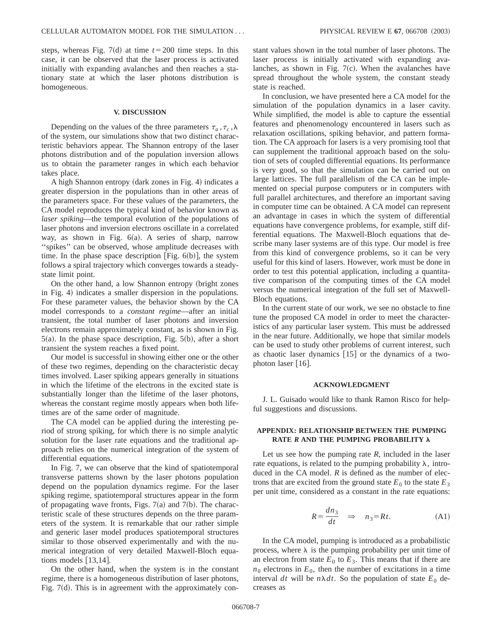steps, whereas Fig. 7 $(d)$  at time  $t=200$  time steps. In this case, it can be observed that the laser process is activated initially with expanding avalanches and then reaches a stationary state at which the laser photons distribution is homogeneous.

#### **V. DISCUSSION**

Depending on the values of the three parameters  $\tau_a$ ,  $\tau_c$ ,  $\lambda$ of the system, our simulations show that two distinct characteristic behaviors appear. The Shannon entropy of the laser photons distribution and of the population inversion allows us to obtain the parameter ranges in which each behavior takes place.

A high Shannon entropy  $(dark zones in Fig. 4)$  indicates a greater dispersion in the populations than in other areas of the parameters space. For these values of the parameters, the CA model reproduces the typical kind of behavior known as *laser spiking*—the temporal evolution of the populations of laser photons and inversion electrons oscillate in a correlated way, as shown in Fig.  $6(a)$ . A series of sharp, narrow "spikes" can be observed, whose amplitude decreases with time. In the phase space description [Fig.  $6(b)$ ], the system follows a spiral trajectory which converges towards a steadystate limit point.

On the other hand, a low Shannon entropy (bright zones in Fig. 4) indicates a smaller dispersion in the populations. For these parameter values, the behavior shown by the CA model corresponds to a *constant regime*—after an initial transient, the total number of laser photons and inversion electrons remain approximately constant, as is shown in Fig.  $5(a)$ . In the phase space description, Fig.  $5(b)$ , after a short transient the system reaches a fixed point.

Our model is successful in showing either one or the other of these two regimes, depending on the characteristic decay times involved. Laser spiking appears generally in situations in which the lifetime of the electrons in the excited state is substantially longer than the lifetime of the laser photons, whereas the constant regime mostly appears when both lifetimes are of the same order of magnitude.

The CA model can be applied during the interesting period of strong spiking, for which there is no simple analytic solution for the laser rate equations and the traditional approach relies on the numerical integration of the system of differential equations.

In Fig. 7, we can observe that the kind of spatiotemporal transverse patterns shown by the laser photons population depend on the population dynamics regime. For the laser spiking regime, spatiotemporal structures appear in the form of propagating wave fronts, Figs.  $7(a)$  and  $7(b)$ . The characteristic scale of these structures depends on the three parameters of the system. It is remarkable that our rather simple and generic laser model produces spatiotemporal structures similar to those observed experimentally and with the numerical integration of very detailed Maxwell-Bloch equations models  $[13,14]$ .

On the other hand, when the system is in the constant regime, there is a homogeneous distribution of laser photons, Fig.  $7(d)$ . This is in agreement with the approximately constant values shown in the total number of laser photons. The laser process is initially activated with expanding avalanches, as shown in Fig.  $7(c)$ . When the avalanches have spread throughout the whole system, the constant steady state is reached.

In conclusion, we have presented here a CA model for the simulation of the population dynamics in a laser cavity. While simplified, the model is able to capture the essential features and phenomenology encountered in lasers such as relaxation oscillations, spiking behavior, and pattern formation. The CA approach for lasers is a very promising tool that can supplement the traditional approach based on the solution of sets of coupled differential equations. Its performance is very good, so that the simulation can be carried out on large lattices. The full parallelism of the CA can be implemented on special purpose computers or in computers with full parallel architectures, and therefore an important saving in computer time can be obtained. A CA model can represent an advantage in cases in which the system of differential equations have convergence problems, for example, stiff differential equations. The Maxwell-Bloch equations that describe many laser systems are of this type. Our model is free from this kind of convergence problems, so it can be very useful for this kind of lasers. However, work must be done in order to test this potential application, including a quantitative comparison of the computing times of the CA model versus the numerical integration of the full set of Maxwell-Bloch equations.

In the current state of our work, we see no obstacle to fine tune the proposed CA model in order to meet the characteristics of any particular laser system. This must be addressed in the near future. Additionally, we hope that similar models can be used to study other problems of current interest, such as chaotic laser dynamics  $[15]$  or the dynamics of a twophoton laser  $[16]$ .

## **ACKNOWLEDGMENT**

J. L. Guisado would like to thank Ramon Risco for helpful suggestions and discussions.

## **APPENDIX: RELATIONSHIP BETWEEN THE PUMPING RATE** *R* **AND THE PUMPING PROBABILITY**  $\lambda$

Let us see how the pumping rate  $R$ , included in the laser rate equations, is related to the pumping probability  $\lambda$ , introduced in the CA model. *R* is defined as the number of electrons that are excited from the ground state  $E_0$  to the state  $E_3$ per unit time, considered as a constant in the rate equations:

$$
R = \frac{dn_3}{dt} \quad \Rightarrow \quad n_3 = Rt. \tag{A1}
$$

In the CA model, pumping is introduced as a probabilistic process, where  $\lambda$  is the pumping probability per unit time of an electron from state  $E_0$  to  $E_3$ . This means that if there are  $n_0$  electrons in  $E_0$ , then the number of excitations in a time interval *dt* will be  $n\lambda dt$ . So the population of state  $E_0$  decreases as